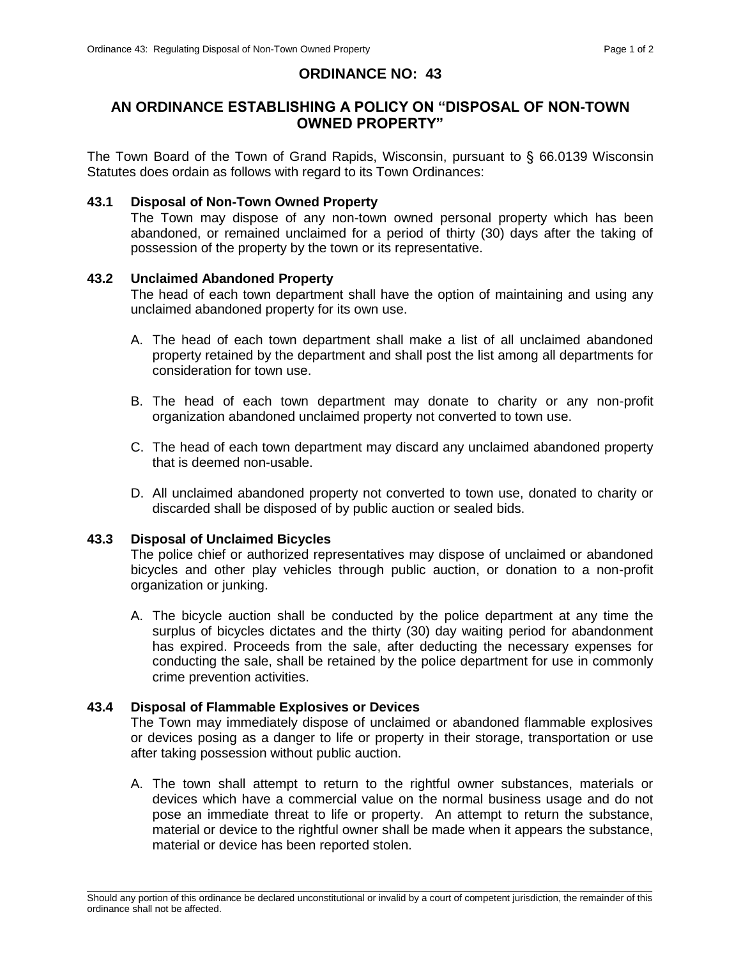# **ORDINANCE NO: 43**

## **AN ORDINANCE ESTABLISHING A POLICY ON "DISPOSAL OF NON-TOWN OWNED PROPERTY"**

The Town Board of the Town of Grand Rapids, Wisconsin, pursuant to § 66.0139 Wisconsin Statutes does ordain as follows with regard to its Town Ordinances:

## **43.1 Disposal of Non-Town Owned Property**

The Town may dispose of any non-town owned personal property which has been abandoned, or remained unclaimed for a period of thirty (30) days after the taking of possession of the property by the town or its representative.

#### **43.2 Unclaimed Abandoned Property**

The head of each town department shall have the option of maintaining and using any unclaimed abandoned property for its own use.

- A. The head of each town department shall make a list of all unclaimed abandoned property retained by the department and shall post the list among all departments for consideration for town use.
- B. The head of each town department may donate to charity or any non-profit organization abandoned unclaimed property not converted to town use.
- C. The head of each town department may discard any unclaimed abandoned property that is deemed non-usable.
- D. All unclaimed abandoned property not converted to town use, donated to charity or discarded shall be disposed of by public auction or sealed bids.

## **43.3 Disposal of Unclaimed Bicycles**

The police chief or authorized representatives may dispose of unclaimed or abandoned bicycles and other play vehicles through public auction, or donation to a non-profit organization or junking.

A. The bicycle auction shall be conducted by the police department at any time the surplus of bicycles dictates and the thirty (30) day waiting period for abandonment has expired. Proceeds from the sale, after deducting the necessary expenses for conducting the sale, shall be retained by the police department for use in commonly crime prevention activities.

## **43.4 Disposal of Flammable Explosives or Devices**

The Town may immediately dispose of unclaimed or abandoned flammable explosives or devices posing as a danger to life or property in their storage, transportation or use after taking possession without public auction.

A. The town shall attempt to return to the rightful owner substances, materials or devices which have a commercial value on the normal business usage and do not pose an immediate threat to life or property. An attempt to return the substance, material or device to the rightful owner shall be made when it appears the substance, material or device has been reported stolen.